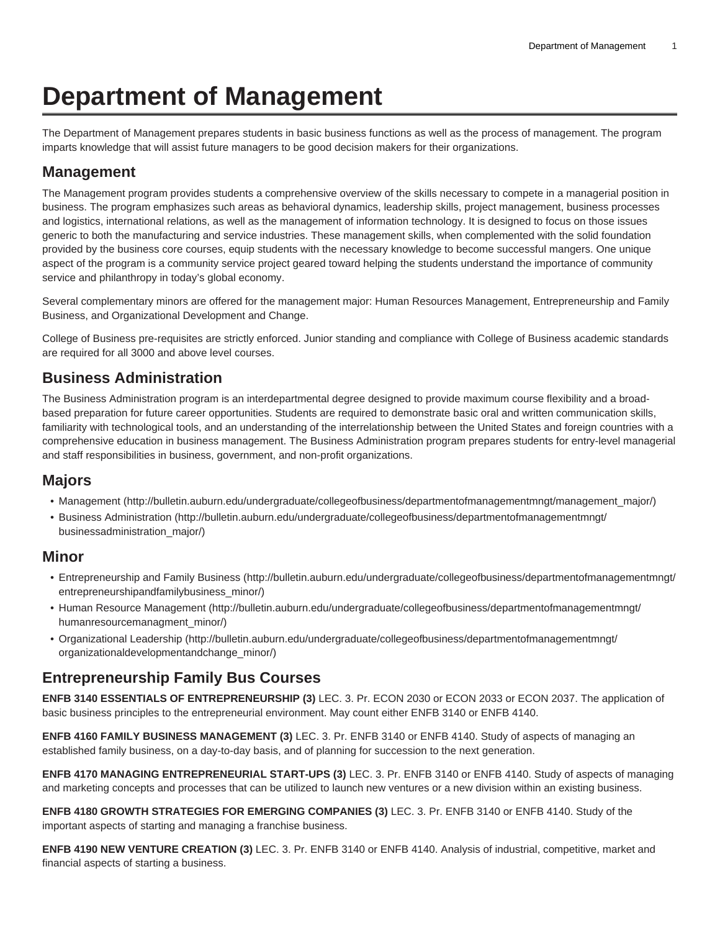# **Department of Management**

The Department of Management prepares students in basic business functions as well as the process of management. The program imparts knowledge that will assist future managers to be good decision makers for their organizations.

### **Management**

The Management program provides students a comprehensive overview of the skills necessary to compete in a managerial position in business. The program emphasizes such areas as behavioral dynamics, leadership skills, project management, business processes and logistics, international relations, as well as the management of information technology. It is designed to focus on those issues generic to both the manufacturing and service industries. These management skills, when complemented with the solid foundation provided by the business core courses, equip students with the necessary knowledge to become successful mangers. One unique aspect of the program is a community service project geared toward helping the students understand the importance of community service and philanthropy in today's global economy.

Several complementary minors are offered for the management major: Human Resources Management, Entrepreneurship and Family Business, and Organizational Development and Change.

College of Business pre-requisites are strictly enforced. Junior standing and compliance with College of Business academic standards are required for all 3000 and above level courses.

## **Business Administration**

The Business Administration program is an interdepartmental degree designed to provide maximum course flexibility and a broadbased preparation for future career opportunities. Students are required to demonstrate basic oral and written communication skills, familiarity with technological tools, and an understanding of the interrelationship between the United States and foreign countries with a comprehensive education in business management. The Business Administration program prepares students for entry-level managerial and staff responsibilities in business, government, and non-profit organizations.

## **Majors**

- [Management \(http://bulletin.auburn.edu/undergraduate/collegeofbusiness/departmentofmanagementmngt/management\\_major/](http://bulletin.auburn.edu/undergraduate/collegeofbusiness/departmentofmanagementmngt/management_major/))
- [Business Administration](http://bulletin.auburn.edu/undergraduate/collegeofbusiness/departmentofmanagementmngt/businessadministration_major/) ([http://bulletin.auburn.edu/undergraduate/collegeofbusiness/departmentofmanagementmngt/](http://bulletin.auburn.edu/undergraduate/collegeofbusiness/departmentofmanagementmngt/businessadministration_major/) [businessadministration\\_major/\)](http://bulletin.auburn.edu/undergraduate/collegeofbusiness/departmentofmanagementmngt/businessadministration_major/)

#### **Minor**

- [Entrepreneurship and Family Business \(http://bulletin.auburn.edu/undergraduate/collegeofbusiness/departmentofmanagementmngt/](http://bulletin.auburn.edu/undergraduate/collegeofbusiness/departmentofmanagementmngt/entrepreneurshipandfamilybusiness_minor/) [entrepreneurshipandfamilybusiness\\_minor/](http://bulletin.auburn.edu/undergraduate/collegeofbusiness/departmentofmanagementmngt/entrepreneurshipandfamilybusiness_minor/))
- [Human Resource Management](http://bulletin.auburn.edu/undergraduate/collegeofbusiness/departmentofmanagementmngt/humanresourcemanagment_minor/) ([http://bulletin.auburn.edu/undergraduate/collegeofbusiness/departmentofmanagementmngt/](http://bulletin.auburn.edu/undergraduate/collegeofbusiness/departmentofmanagementmngt/humanresourcemanagment_minor/) [humanresourcemanagment\\_minor/](http://bulletin.auburn.edu/undergraduate/collegeofbusiness/departmentofmanagementmngt/humanresourcemanagment_minor/))
- [Organizational Leadership](http://bulletin.auburn.edu/undergraduate/collegeofbusiness/departmentofmanagementmngt/organizationaldevelopmentandchange_minor/) ([http://bulletin.auburn.edu/undergraduate/collegeofbusiness/departmentofmanagementmngt/](http://bulletin.auburn.edu/undergraduate/collegeofbusiness/departmentofmanagementmngt/organizationaldevelopmentandchange_minor/) [organizationaldevelopmentandchange\\_minor/](http://bulletin.auburn.edu/undergraduate/collegeofbusiness/departmentofmanagementmngt/organizationaldevelopmentandchange_minor/))

## **Entrepreneurship Family Bus Courses**

**ENFB 3140 ESSENTIALS OF ENTREPRENEURSHIP (3)** LEC. 3. Pr. ECON 2030 or ECON 2033 or ECON 2037. The application of basic business principles to the entrepreneurial environment. May count either ENFB 3140 or ENFB 4140.

**ENFB 4160 FAMILY BUSINESS MANAGEMENT (3)** LEC. 3. Pr. ENFB 3140 or ENFB 4140. Study of aspects of managing an established family business, on a day-to-day basis, and of planning for succession to the next generation.

**ENFB 4170 MANAGING ENTREPRENEURIAL START-UPS (3)** LEC. 3. Pr. ENFB 3140 or ENFB 4140. Study of aspects of managing and marketing concepts and processes that can be utilized to launch new ventures or a new division within an existing business.

**ENFB 4180 GROWTH STRATEGIES FOR EMERGING COMPANIES (3)** LEC. 3. Pr. ENFB 3140 or ENFB 4140. Study of the important aspects of starting and managing a franchise business.

**ENFB 4190 NEW VENTURE CREATION (3)** LEC. 3. Pr. ENFB 3140 or ENFB 4140. Analysis of industrial, competitive, market and financial aspects of starting a business.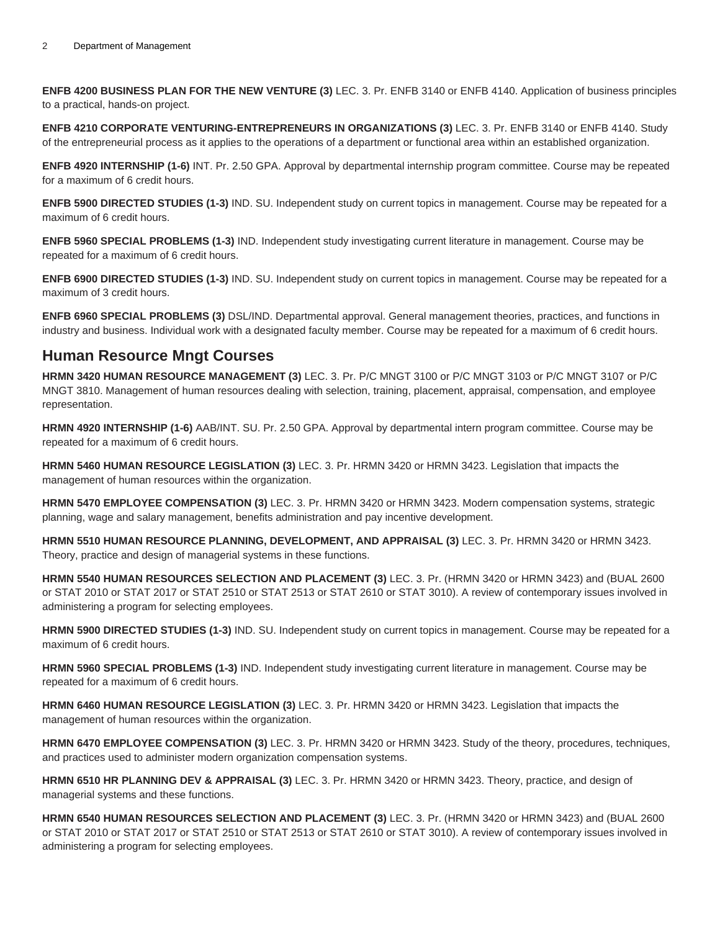**ENFB 4200 BUSINESS PLAN FOR THE NEW VENTURE (3)** LEC. 3. Pr. ENFB 3140 or ENFB 4140. Application of business principles to a practical, hands-on project.

**ENFB 4210 CORPORATE VENTURING-ENTREPRENEURS IN ORGANIZATIONS (3)** LEC. 3. Pr. ENFB 3140 or ENFB 4140. Study of the entrepreneurial process as it applies to the operations of a department or functional area within an established organization.

**ENFB 4920 INTERNSHIP (1-6)** INT. Pr. 2.50 GPA. Approval by departmental internship program committee. Course may be repeated for a maximum of 6 credit hours.

**ENFB 5900 DIRECTED STUDIES (1-3)** IND. SU. Independent study on current topics in management. Course may be repeated for a maximum of 6 credit hours.

**ENFB 5960 SPECIAL PROBLEMS (1-3)** IND. Independent study investigating current literature in management. Course may be repeated for a maximum of 6 credit hours.

**ENFB 6900 DIRECTED STUDIES (1-3)** IND. SU. Independent study on current topics in management. Course may be repeated for a maximum of 3 credit hours.

**ENFB 6960 SPECIAL PROBLEMS (3)** DSL/IND. Departmental approval. General management theories, practices, and functions in industry and business. Individual work with a designated faculty member. Course may be repeated for a maximum of 6 credit hours.

## **Human Resource Mngt Courses**

**HRMN 3420 HUMAN RESOURCE MANAGEMENT (3)** LEC. 3. Pr. P/C MNGT 3100 or P/C MNGT 3103 or P/C MNGT 3107 or P/C MNGT 3810. Management of human resources dealing with selection, training, placement, appraisal, compensation, and employee representation.

**HRMN 4920 INTERNSHIP (1-6)** AAB/INT. SU. Pr. 2.50 GPA. Approval by departmental intern program committee. Course may be repeated for a maximum of 6 credit hours.

**HRMN 5460 HUMAN RESOURCE LEGISLATION (3)** LEC. 3. Pr. HRMN 3420 or HRMN 3423. Legislation that impacts the management of human resources within the organization.

**HRMN 5470 EMPLOYEE COMPENSATION (3)** LEC. 3. Pr. HRMN 3420 or HRMN 3423. Modern compensation systems, strategic planning, wage and salary management, benefits administration and pay incentive development.

**HRMN 5510 HUMAN RESOURCE PLANNING, DEVELOPMENT, AND APPRAISAL (3)** LEC. 3. Pr. HRMN 3420 or HRMN 3423. Theory, practice and design of managerial systems in these functions.

**HRMN 5540 HUMAN RESOURCES SELECTION AND PLACEMENT (3)** LEC. 3. Pr. (HRMN 3420 or HRMN 3423) and (BUAL 2600 or STAT 2010 or STAT 2017 or STAT 2510 or STAT 2513 or STAT 2610 or STAT 3010). A review of contemporary issues involved in administering a program for selecting employees.

**HRMN 5900 DIRECTED STUDIES (1-3)** IND. SU. Independent study on current topics in management. Course may be repeated for a maximum of 6 credit hours.

**HRMN 5960 SPECIAL PROBLEMS (1-3)** IND. Independent study investigating current literature in management. Course may be repeated for a maximum of 6 credit hours.

**HRMN 6460 HUMAN RESOURCE LEGISLATION (3)** LEC. 3. Pr. HRMN 3420 or HRMN 3423. Legislation that impacts the management of human resources within the organization.

**HRMN 6470 EMPLOYEE COMPENSATION (3)** LEC. 3. Pr. HRMN 3420 or HRMN 3423. Study of the theory, procedures, techniques, and practices used to administer modern organization compensation systems.

**HRMN 6510 HR PLANNING DEV & APPRAISAL (3)** LEC. 3. Pr. HRMN 3420 or HRMN 3423. Theory, practice, and design of managerial systems and these functions.

**HRMN 6540 HUMAN RESOURCES SELECTION AND PLACEMENT (3)** LEC. 3. Pr. (HRMN 3420 or HRMN 3423) and (BUAL 2600 or STAT 2010 or STAT 2017 or STAT 2510 or STAT 2513 or STAT 2610 or STAT 3010). A review of contemporary issues involved in administering a program for selecting employees.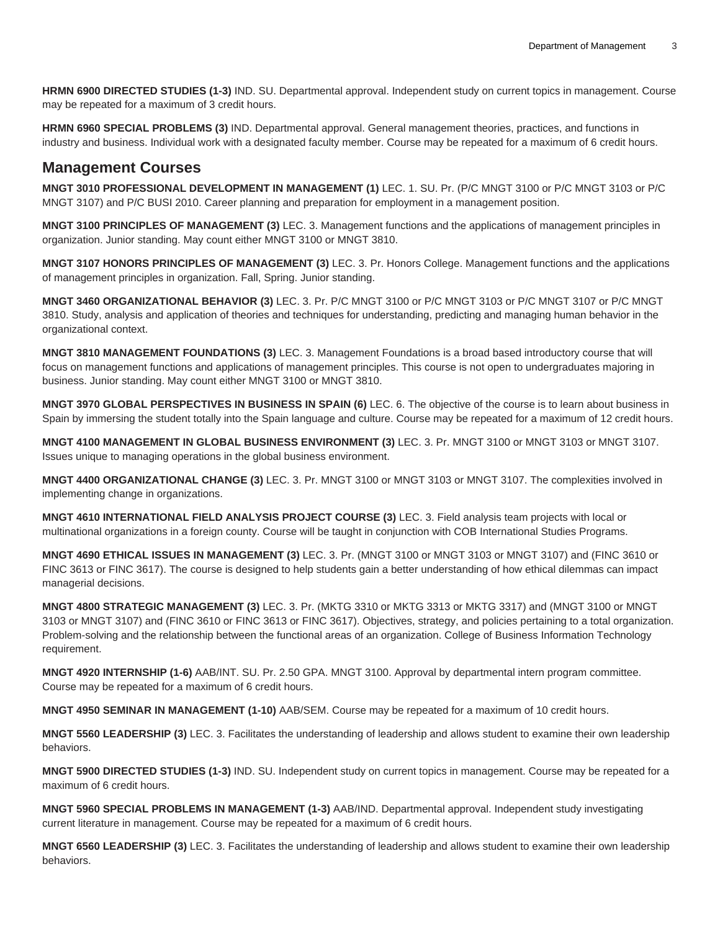**HRMN 6900 DIRECTED STUDIES (1-3)** IND. SU. Departmental approval. Independent study on current topics in management. Course may be repeated for a maximum of 3 credit hours.

**HRMN 6960 SPECIAL PROBLEMS (3)** IND. Departmental approval. General management theories, practices, and functions in industry and business. Individual work with a designated faculty member. Course may be repeated for a maximum of 6 credit hours.

#### **Management Courses**

**MNGT 3010 PROFESSIONAL DEVELOPMENT IN MANAGEMENT (1)** LEC. 1. SU. Pr. (P/C MNGT 3100 or P/C MNGT 3103 or P/C MNGT 3107) and P/C BUSI 2010. Career planning and preparation for employment in a management position.

**MNGT 3100 PRINCIPLES OF MANAGEMENT (3)** LEC. 3. Management functions and the applications of management principles in organization. Junior standing. May count either MNGT 3100 or MNGT 3810.

**MNGT 3107 HONORS PRINCIPLES OF MANAGEMENT (3)** LEC. 3. Pr. Honors College. Management functions and the applications of management principles in organization. Fall, Spring. Junior standing.

**MNGT 3460 ORGANIZATIONAL BEHAVIOR (3)** LEC. 3. Pr. P/C MNGT 3100 or P/C MNGT 3103 or P/C MNGT 3107 or P/C MNGT 3810. Study, analysis and application of theories and techniques for understanding, predicting and managing human behavior in the organizational context.

**MNGT 3810 MANAGEMENT FOUNDATIONS (3)** LEC. 3. Management Foundations is a broad based introductory course that will focus on management functions and applications of management principles. This course is not open to undergraduates majoring in business. Junior standing. May count either MNGT 3100 or MNGT 3810.

**MNGT 3970 GLOBAL PERSPECTIVES IN BUSINESS IN SPAIN (6)** LEC. 6. The objective of the course is to learn about business in Spain by immersing the student totally into the Spain language and culture. Course may be repeated for a maximum of 12 credit hours.

**MNGT 4100 MANAGEMENT IN GLOBAL BUSINESS ENVIRONMENT (3)** LEC. 3. Pr. MNGT 3100 or MNGT 3103 or MNGT 3107. Issues unique to managing operations in the global business environment.

**MNGT 4400 ORGANIZATIONAL CHANGE (3)** LEC. 3. Pr. MNGT 3100 or MNGT 3103 or MNGT 3107. The complexities involved in implementing change in organizations.

**MNGT 4610 INTERNATIONAL FIELD ANALYSIS PROJECT COURSE (3)** LEC. 3. Field analysis team projects with local or multinational organizations in a foreign county. Course will be taught in conjunction with COB International Studies Programs.

**MNGT 4690 ETHICAL ISSUES IN MANAGEMENT (3)** LEC. 3. Pr. (MNGT 3100 or MNGT 3103 or MNGT 3107) and (FINC 3610 or FINC 3613 or FINC 3617). The course is designed to help students gain a better understanding of how ethical dilemmas can impact managerial decisions.

**MNGT 4800 STRATEGIC MANAGEMENT (3)** LEC. 3. Pr. (MKTG 3310 or MKTG 3313 or MKTG 3317) and (MNGT 3100 or MNGT 3103 or MNGT 3107) and (FINC 3610 or FINC 3613 or FINC 3617). Objectives, strategy, and policies pertaining to a total organization. Problem-solving and the relationship between the functional areas of an organization. College of Business Information Technology requirement.

**MNGT 4920 INTERNSHIP (1-6)** AAB/INT. SU. Pr. 2.50 GPA. MNGT 3100. Approval by departmental intern program committee. Course may be repeated for a maximum of 6 credit hours.

**MNGT 4950 SEMINAR IN MANAGEMENT (1-10)** AAB/SEM. Course may be repeated for a maximum of 10 credit hours.

**MNGT 5560 LEADERSHIP (3)** LEC. 3. Facilitates the understanding of leadership and allows student to examine their own leadership behaviors.

**MNGT 5900 DIRECTED STUDIES (1-3)** IND. SU. Independent study on current topics in management. Course may be repeated for a maximum of 6 credit hours.

**MNGT 5960 SPECIAL PROBLEMS IN MANAGEMENT (1-3)** AAB/IND. Departmental approval. Independent study investigating current literature in management. Course may be repeated for a maximum of 6 credit hours.

**MNGT 6560 LEADERSHIP (3)** LEC. 3. Facilitates the understanding of leadership and allows student to examine their own leadership behaviors.